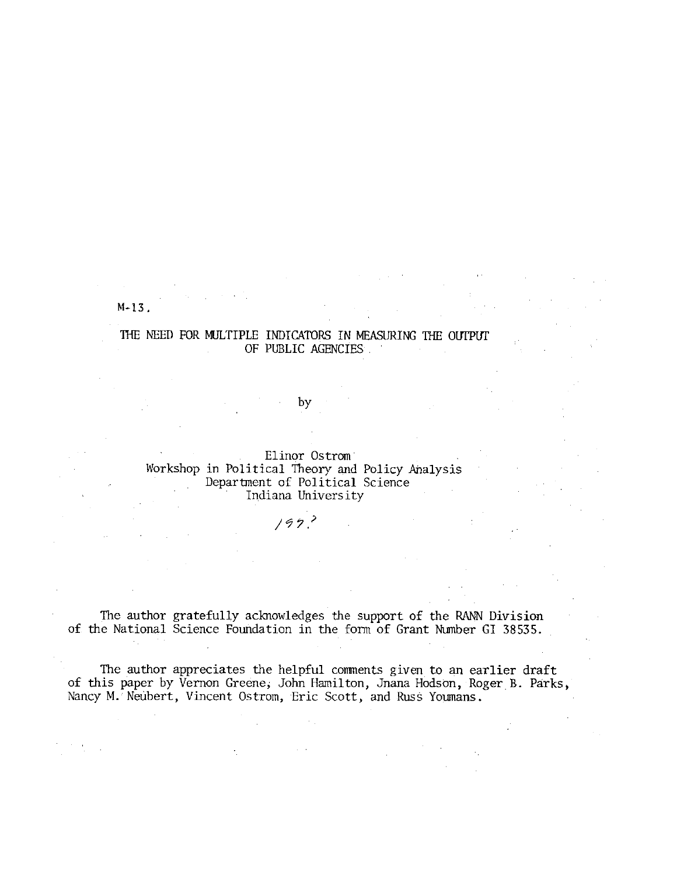# $M-13$ .

## THE NEED FOR MULTIPLE INDICATORS IN MEASURING THE OUTPUT OF PUBLIC AGENCIES

by

Elinor Ostrom Workshop in Political Theory and Policy Analysis<br>Department of Political Science Indiana University

# $199$

The author gratefully acknowledges the support of the RANN Division of the National Science Foundation in the form of Grant Number GI 38535.

The author appreciates the helpful comments given to an earlier draft of this paper by Vernon Greene, John Hamilton, Jnana Hodson, Roger B. Parks, Nancy M. Neubert, Vincent Ostrom, Eric Scott, and Russ Youmans.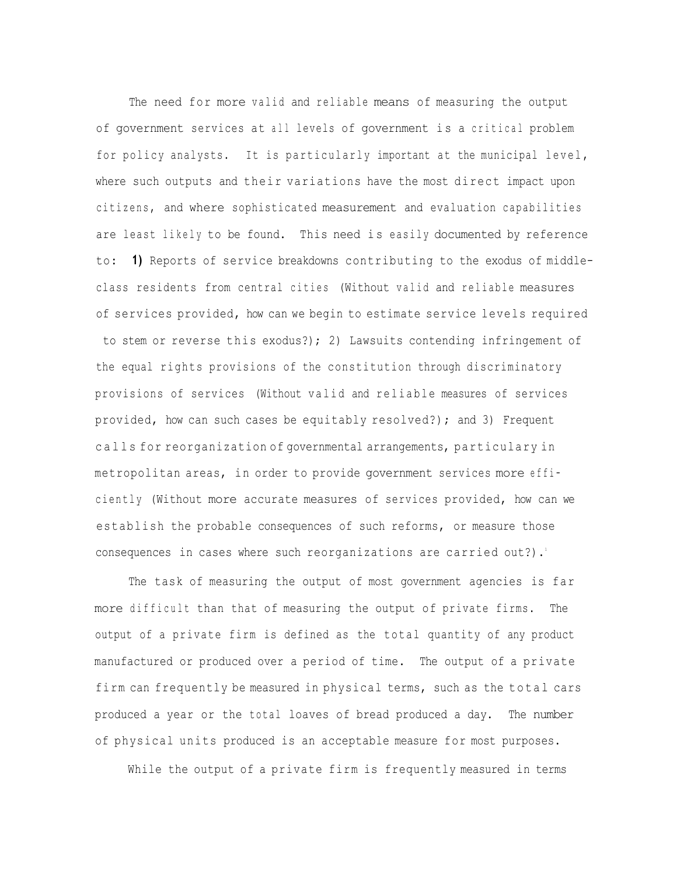The need for more valid and reliable means of measuring the output of government services at all levels of government is a critical problem for policy analysts. It is particularly important at the municipal level, where such outputs and their variations have the most direct impact upon citizens , and where sophisticated measurement and evaluation capabilities are least likely to be found. This need is easily documented by reference to: **1)** Reports of service breakdowns contributing to the exodus of middleclass residents from central cities (Without valid and reliable measures of services provided, how can we begin to estimate service levels required to stem or reverse this exodus?); 2) Lawsuits contending infringement of the equal rights provisions of the constitution through discriminatory provisions of services (Without valid and reliable measures of services provided, how can such cases be equitably resolved?); and 3) Frequent call s for reorganization of governmental arrangements, particulary in metropolitan areas, in order to provide government services more effi ciently (Without more accurate measures of services provided, how can we establish the probable consequences of such reforms, or measure those consequences in cases where such reorganizations are carried out?).<sup>1</sup>

The task of measuring the output of most government agencies is far more difficult than that of measuring the output of private firms. The output of a private firm is defined as the total quantity of any product manufactured or produced over a period of time. The output of a private firm can frequently be measured in physical terms, such as the total cars produced a year or the total loaves of bread produced a day. The number of physical units produced is an acceptable measure for most purposes.

While the output of a private firm is frequently measured in terms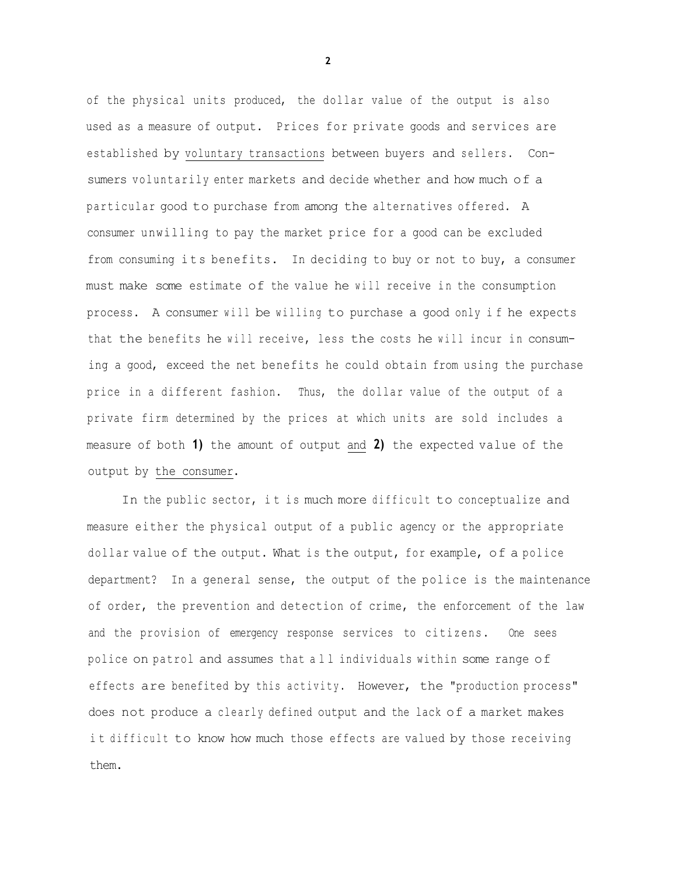of the physical units produced, the dollar value of the output is also used as a measure of output. Prices for private goods and services are established by voluntary transactions between buyers and sellers. Consumers voluntarily enter markets and decide whether and how much of a particular good to purchase from among the alternatives offered. A consumer unwilling to pay the market price for a good can be excluded from consuming it s benefits. In deciding to buy or not to buy, a consumer must make some estimate of the value he will receive in the consumption process. A consumer will be willing to purchase a good only if he expects that the benefits he will receive, less the costs he will incur in consuming a good, exceed the net benefits he could obtain from using the purchase price in a different fashion. Thus, the dollar value of the output of a private firm determined by the prices at which units are sold includes a measure of both **1)** the amount of output and **2)** the expected value of the output by the consumer.

In the public sector, it is much more difficult to conceptualize and measure either the physical output of a public agency or the appropriate dollar value of the output. What is the output, for example, of a police department? In a general sense, the output of the police is the maintenance of order, the prevention and detection of crime, the enforcement of the law and the provision of emergency response services to citizens. One sees police on patrol and assumes that all individuals within some range of effects are benefited by this activity. However, the "production process" does not produce a clearly defined output and the lack of a market makes it difficult to know how much those effects are valued by those receiving them.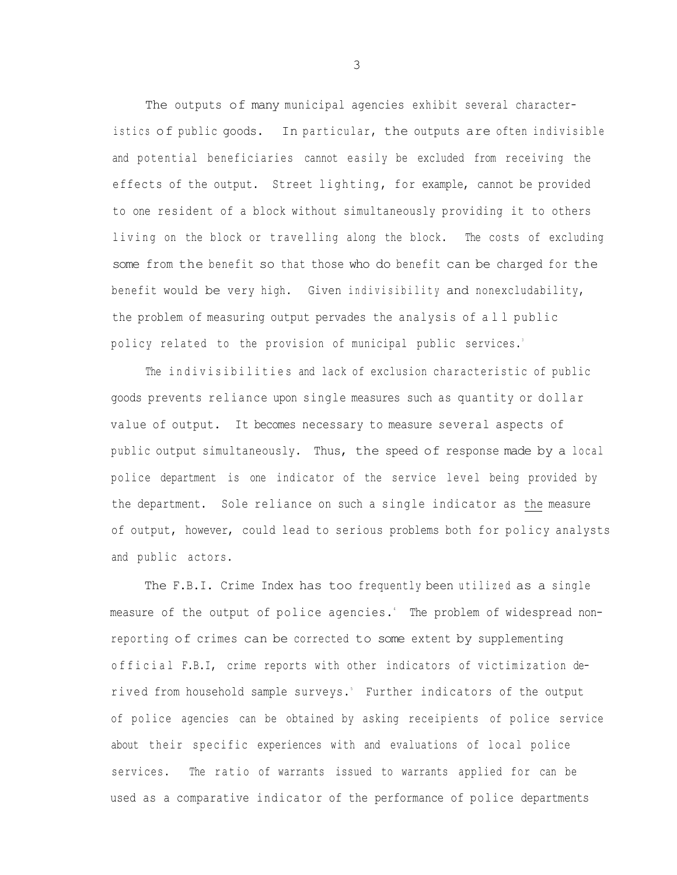The outputs of many municipal agencies exhibit several characteristics of public goods. In particular, the outputs are often indivisible and potential beneficiaries cannot easily be excluded from receiving the effects of the output. Street lighting, for example, cannot be provided to one resident of a block without simultaneously providing it to others living on the block or travelling along the block. The costs of excluding some from the benefit so that those who do benefit can be charged for the benefit would be very high. Given indivisibility and nonexcludability, the problem of measuring output pervades the analysis of all public policy related to the provision of municipal public services.<sup>3</sup>

The indivisibilities and lack of exclusion characteristic of public goods prevents reliance upon single measures such as quantity or dollar value of output. It becomes necessary to measure several aspects of public output simultaneously. Thus, the speed of response made by a local police department is one indicator of the service level being provided by the department. Sole reliance on such a single indicator as the measure of output, however, could lead to serious problems both for policy analysts and public actors.

The F.B.I. Crime Index has too frequently been utilized as a single measure of the output of police agencies.' The problem of widespread nonreporting of crimes can be corrected to some extent by supplementing official F.B.I, crime reports with other indicators of victimization derived from household sample surveys.' Further indicators of the output of police agencies can be obtained by asking receipients of police service about their specific experiences with and evaluations of local police services. The ratio of warrants issued to warrants applied for can be used as a comparative indicator of the performance of police departments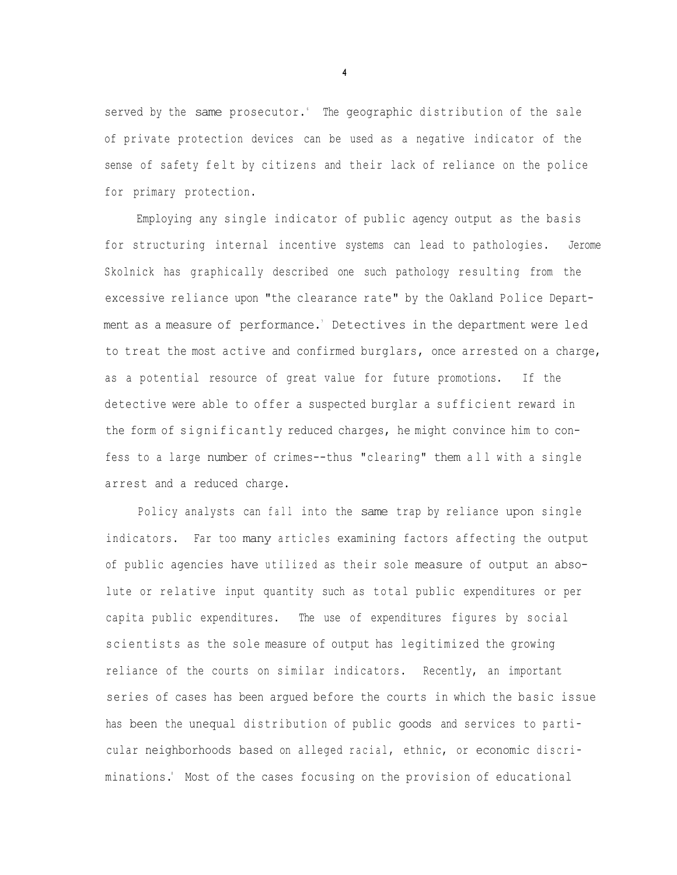served by the same prosecutor. The geographic distribution of the sale of private protection devices can be used as a negative indicator of the sense of safety felt by citizens and their lack of reliance on the police for primary protection.

Employing any single indicator of public agency output as the basis for structuring internal incentive systems can lead to pathologies. Jerome Skolnick has graphically described one such pathology resulting from the excessive reliance upon "the clearance rate" by the Oakland Police Department as a measure of performance.' Detectives in the department were led to treat the most active and confirmed burglars, once arrested on a charge, as a potential resource of great value for future promotions. If the detective were able to offer a suspected burglar a sufficient reward in the form of significantly reduced charges, he might convince him to confess to a large number of crimes--thus "clearing" them all with a single arrest and a reduced charge.

Policy analysts can fall into the same trap by reliance upon single indicators. Far too many articles examining factors affecting the output of public agencies have utilized as their sole measure of output an absolute or relative input quantity such as total public expenditures or per capita public expenditures. The use of expenditures figures by social scientists as the sole measure of output has legitimized the growing reliance of the courts on similar indicators. Recently, an important series of cases has been argued before the courts in which the basic issue has been the unequal distribution of public goods and services to particular neighborhoods based on alleged racial, ethnic, or economic discriminations. 8 Most of the cases focusing on the provision of educational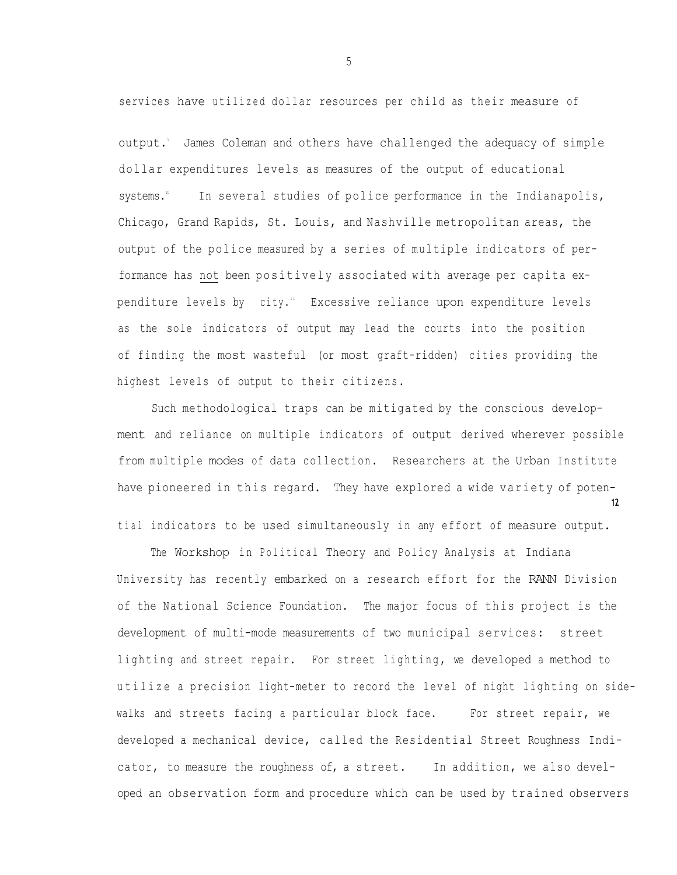services have utilized dollar resources per child as their measure of

output.<sup>9</sup> James Coleman and others have challenged the adequacy of simple dollar expenditures levels as measures of the output of educational systems.<sup>10</sup> In several studies of police performance in the Indianapolis, Chicago, Grand Rapids, St. Louis, and Nashville metropolitan areas, the output of the police measured by a series of multiple indicators of performance has not been positively associated with average per capita expenditure levels by city." Excessive reliance upon expenditure levels as the sole indicators of output may lead the courts into the position of finding the most wasteful (or most graft-ridden) cities providing the highest levels of output to their citizens.

Such methodological traps can be mitigated by the conscious development and reliance on multiple indicators of output derived wherever possible from multiple modes of data collection. Researchers at the Urban Institute have pioneered in this regard. They have explored a wide variety of poten-**12**  tial indicators to be used simultaneously in any effort of measure output.

The Workshop in Political Theory and Policy Analysis at Indiana University has recently embarked on a research effort for the RANN Division of the National Science Foundation. The major focus of this project is the development of multi-mode measurements of two municipal services: street lighting and street repair. For street lighting, we developed a method to utilize a precision light-meter to record the level of night lighting on sidewalks and streets facing a particular block face. For street repair, we developed a mechanical device, called the Residential Street Roughness Indicator, to measure the roughness of, a street. In addition, we also developed an observation form and procedure which can be used by trained observers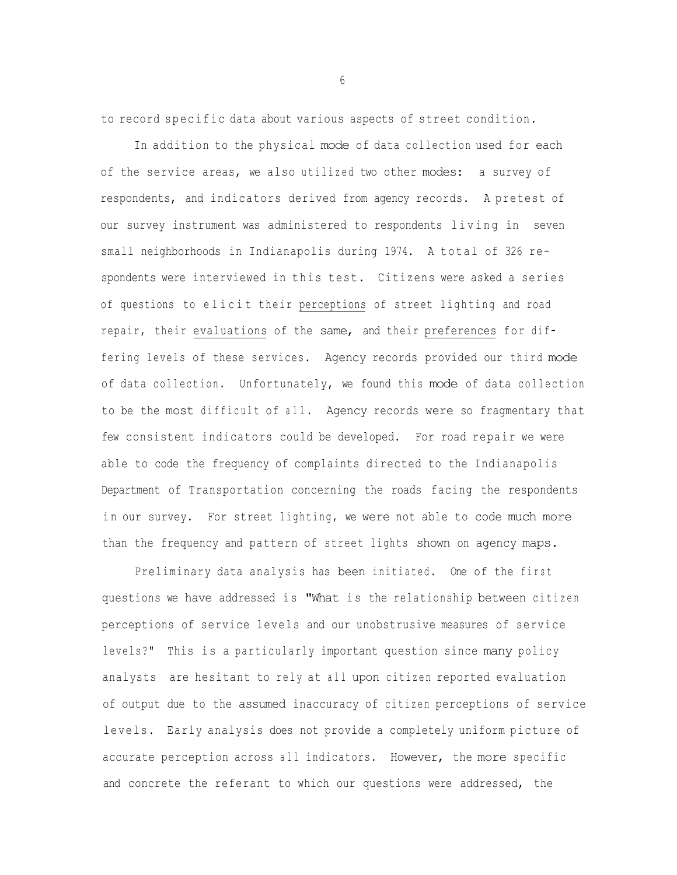to record specific data about various aspects of street condition.

In addition to the physical mode of data collection used for each of the service areas, we also utilized two other modes: a survey of respondents, and indicators derived from agency records. A pretest of our survey instrument was administered to respondents living in seven small neighborhoods in Indianapolis during 1974. A total of 326 respondents were interviewed in this test. Citizens were asked a series of questions to elicit their perceptions of street lighting and road repair, their evaluations of the same, and their preferences for differing levels of these services. Agency records provided our third mode of data collection. Unfortunately, we found this mode of data collection to be the most difficult of all. Agency records were so fragmentary that few consistent indicators could be developed. For road repair we were able to code the frequency of complaints directed to the Indianapolis Department of Transportation concerning the roads facing the respondents in our survey. For street lighting, we were not able to code much more than the frequency and pattern of street lights shown on agency maps.

Preliminary data analysis has been initiated. One of the first questions we have addressed is "What is the relationship between citizen perceptions of service levels and our unobstrusive measures of service levels?" This is a particularly important question since many policy analysts are hesitant to rely at all upon citizen reported evaluation of output due to the assumed inaccuracy of citizen perceptions of service levels. Early analysis does not provide a completely uniform picture of accurate perception across all indicators. However, the more specific and concrete the referant to which our questions were addressed, the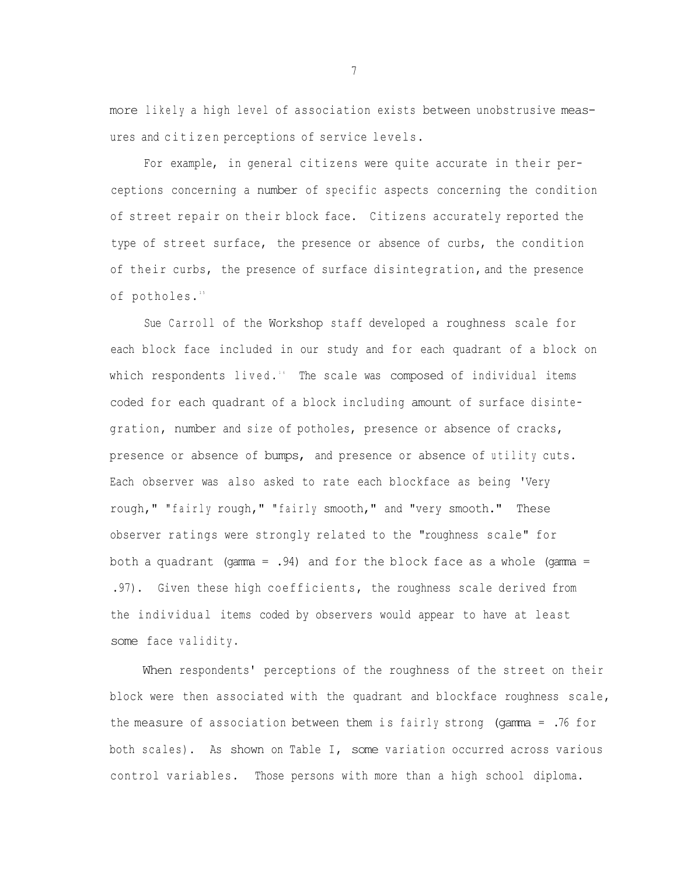more likely a high level of association exists between unobstrusive measures and citizen perceptions of service levels.

For example, in general citizens were quite accurate in their perceptions concerning a number of specific aspects concerning the condition of street repair on their block face. Citizens accurately reported the type of street surface, the presence or absence of curbs, the condition of their curbs, the presence of surface disintegration, and the presence of potholes.<sup>15</sup>

Sue Carroll of the Workshop staff developed a roughness scale for each block face included in our study and for each quadrant of a block on which respondents lived." The scale was composed of individual items coded for each quadrant of a block including amount of surface disintegration, number and size of potholes, presence or absence of cracks, presence or absence of bumps, and presence or absence of utility cuts. Each observer was also asked to rate each blockface as being 'Very rough," "fairly rough," "fairly smooth," and "very smooth." These observer ratings were strongly related to the "roughness scale" for both a quadrant (gamma =  $.94$ ) and for the block face as a whole (gamma = .97). Given these high coefficients, the roughness scale derived from the individual items coded by observers would appear to have at least some face validity .

When respondents' perceptions of the roughness of the street on their block were then associated with the quadrant and blockface roughness scale, the measure of association between them is fairly strong (gamma =  $.76$  for both scales). As shown on Table I, some variation occurred across various control variables. Those persons with more than a high school diploma.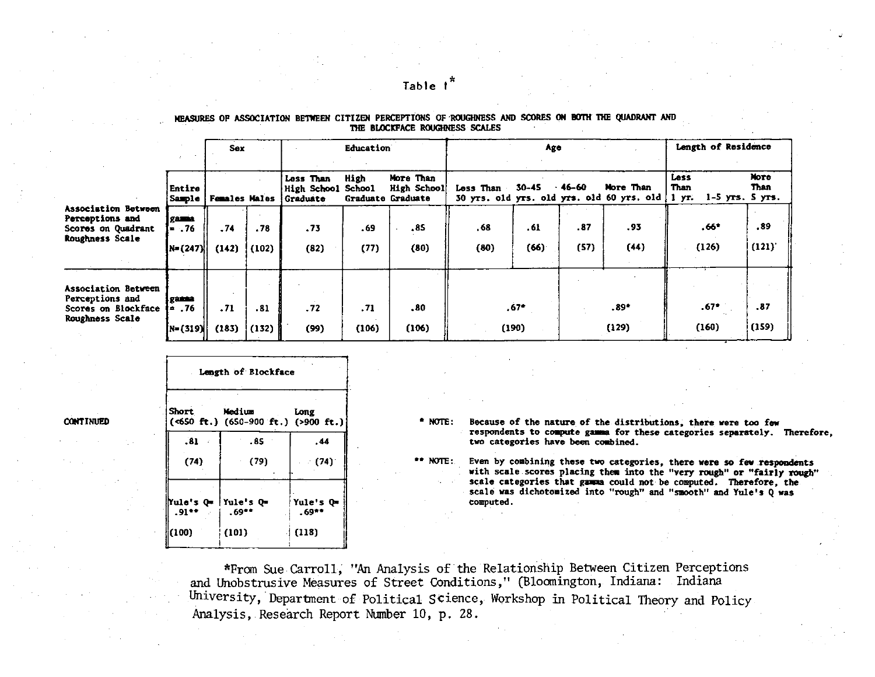|                                                                                  |                            | <b>Sex</b>           |              |                                      | <b>Education</b>                           |                          |              | Age             |             |                                                        | Length of Residence                               |              |
|----------------------------------------------------------------------------------|----------------------------|----------------------|--------------|--------------------------------------|--------------------------------------------|--------------------------|--------------|-----------------|-------------|--------------------------------------------------------|---------------------------------------------------|--------------|
|                                                                                  |                            |                      |              |                                      |                                            |                          |              |                 |             |                                                        |                                                   |              |
|                                                                                  | Entire<br>Sample           | <b>Females Males</b> |              | Less Than<br>High School<br>Graduate | High<br><b>School</b><br>Graduate Graduate | More Than<br>High School | Less Than    | $30 - 45$       | $-46-60$    | More Than<br>30 yrs. old yrs. old yrs. old 60 yrs. old | Less<br>Than<br>$1-5$ yrs. $5$ yrs.<br>$1 \, yr.$ | More<br>Than |
| Association Between<br>Perceptions and<br>Scores on Quadrant<br>Roughness Scale  | gama<br>$-76$<br> N= (247) | .74<br>(142)         | .78<br>(102) | .73<br>(82)                          | .69<br>(77)                                | .85<br>(80)              | . 68<br>(80) | . 61<br>(66)    | .87<br>(57) | .93<br>(44)                                            | $.66*$<br>(126)                                   | .89<br>(121) |
| Association Between<br>Perceptions and<br>Scores on Blockface<br>Roughness Scale | gama<br>.76<br> N= (319)   | .71<br>(183)         | .81<br>(132) | .72<br>(99)                          | .71<br>(106)                               | .80<br>(106)             |              | $.67*$<br>(190) |             | $.89*$<br>(129)                                        | $.67*$<br>(160)                                   | .87<br>(159) |

#### ASSOCIATION BETWEEN CITIZEN PERCEPTIONS OF ROUGHNESS AND SCORES ON BOTH THE OUADRANT AND MEASURES OF THE BLOCKFACE ROUGHNESS SCALES

| Length of Blockface                     |                                                        |                       |  |  |  |  |
|-----------------------------------------|--------------------------------------------------------|-----------------------|--|--|--|--|
| Short                                   | Medium<br>$($ <650 ft.) $($ 650-900 ft.) $($ >900 ft.) | Long                  |  |  |  |  |
| $.81 -$                                 | . 85                                                   | . 44                  |  |  |  |  |
| (74)                                    | (79)                                                   | $\sim$ (74):          |  |  |  |  |
| <b>Nule's Q=   Yule's Q=</b><br>$.91**$ | $.69***$                                               | Yule's Q=<br>$.69***$ |  |  |  |  |
| (100)                                   | (101)                                                  | (118)                 |  |  |  |  |

**CONTINUE** 

 $• NOTE:$ Because of the nature of the distributions, there were too few respondents to compute gamma for these categories separately. Therefore, two categories have been combined.

\*\* NOTE: Even by combining these two categories, there were so few respondents with scale scores placing them into the "very rough" or "fairly rough" scale categories that gamma could not be computed. Therefore, the scale was dichotomized into "rough" and "smooth" and Yule's Q was computed.

\*From Sue Carroll, "An Analysis of the Relationship Between Citizen Perceptions<br>and Unobstrusive Measures of Street Conditions," (Bloomington, Indiana: Indiana University, Department of Political Science, Workshop in Political Theory and Policy Analysis, Research Report Number 10, p. 28.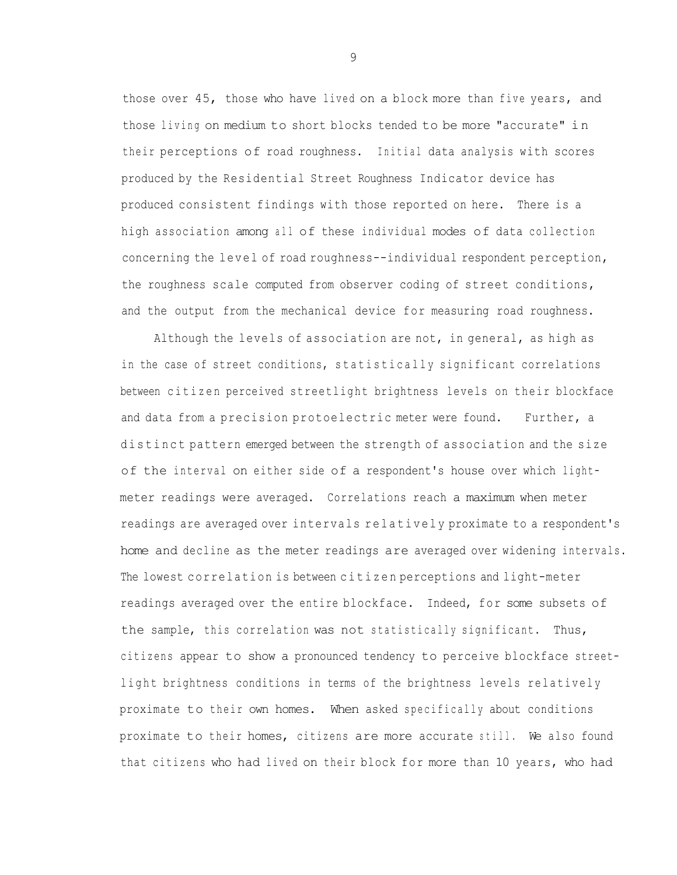those over 45, those who have lived on a block more than five years, and those living on medium to short blocks tended to be more "accurate" in their perceptions of road roughness. Initial data analysis with scores produced by the Residential Street Roughness Indicator device has produced consistent findings with those reported on here. There is a high association among all of these individual modes of data collection concerning the level of road roughness--individual respondent perception, the roughness scale computed from observer coding of street conditions, and the output from the mechanical device for measuring road roughness.

Although the levels of association are not, in general, as high as in the case of street conditions, statistically significant correlations between citizen perceived streetlight brightness levels on their blockface and data from a precision protoelectric meter were found. Further, a distinct pattern emerged between the strength of association and the size of the interval on either side of a respondent's house over which light meter readings were averaged. Correlations reach a maximum when meter readings are averaged over intervals relativel y proximate to a respondent's home and decline as the meter readings are averaged over widening intervals. The lowest correlation is between citizen perceptions and light-meter readings averaged over the entire blockface. Indeed, for some subsets of the sample, this correlation was not statistically significant. Thus, citizens appear to show a pronounced tendency to perceive blockface streetlight brightness conditions in terms of the brightness levels relatively proximate to their own homes. When asked specifically about conditions proximate to their homes, citizens are more accurate still. We also found that citizens who had lived on their block for more than 10 years, who had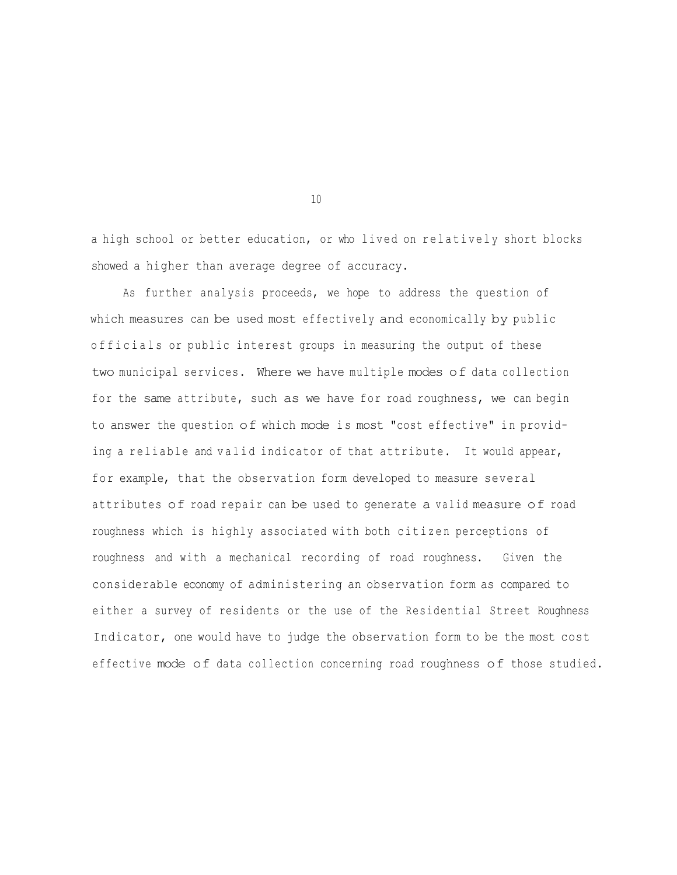a high school or better education, or who lived on relatively short blocks showed a higher than average degree of accuracy.

As further analysis proceeds, we hope to address the question of which measures can be used most effectively and economically by public officials or public interest groups in measuring the output of these two municipal services. Where we have multiple modes of data collection for the same attribute, such as we have for road roughness, we can begin to answer the question of which mode is most "cost effective" in providing a reliable and valid indicator of that attribute. It would appear, for example, that the observation form developed to measure several attributes of road repair can be used to generate a valid measure of road roughness which is highly associated with both citizen perceptions of roughness and with a mechanical recording of road roughness. Given the considerable economy of administering an observation form as compared to either a survey of residents or the use of the Residential Street Roughness Indicator, one would have to judge the observation form to be the most cost effective mode of data collection concerning road roughness of those studied.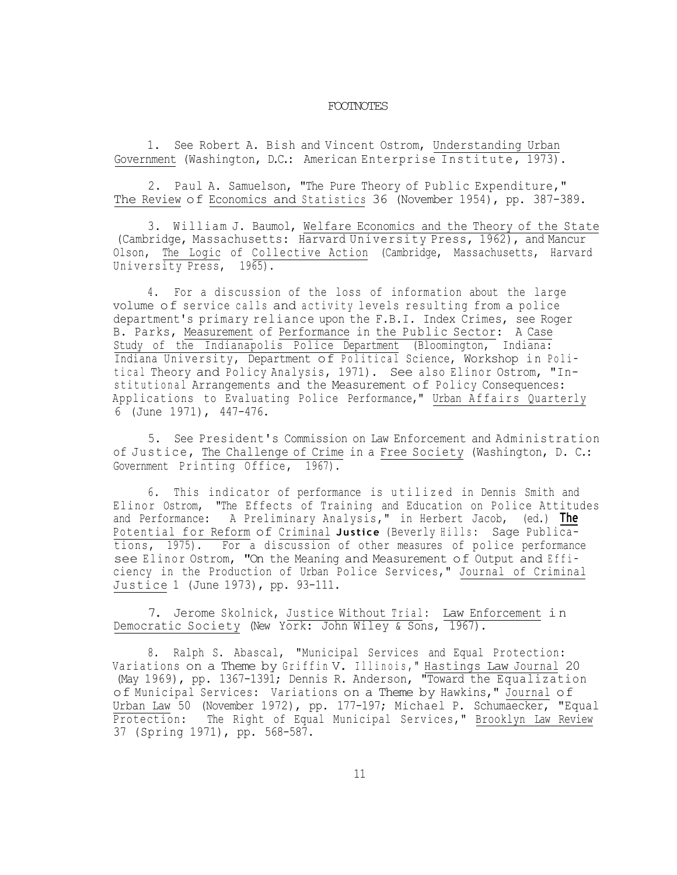### FOOTNOTES

1. See Robert A. Bish and Vincent Ostrom, Understanding Urban Government (Washington, D.C.: American Enterprise Institute, 1973).

2. Paul A. Samuelson, "The Pure Theory of Public Expenditure," The Review of Economics and Statistics 36 (November 1954), pp. 387-389.

3. William J. Baumol, Welfare Economics and the Theory of the State (Cambridge, Massachusetts: Harvard University Press, 1962), and Mancur Olson, The Logic of Collective Action (Cambridge, Massachusetts, Harvard University Press, 1965).

4. For a discussion of the loss of information about the large volume of service calls and activity levels resulting from a police department's primary reliance upon the F.B.I. Index Crimes, see Roger B. Parks, Measurement of Performance in the Public Sector: A Case Study of the Indianapolis Police Department (Bloomington, Indiana: Indiana University, Department of Political Science, Workshop in Political Theory and Policy Analysis, 1971). See also Elinor Ostrom, "Institutional Arrangements and the Measurement of Policy Consequences: Applications to Evaluating Police Performance," Urban Affairs Quarterly 6 (June 1971), 447-476.

5. See President's Commission on Law Enforcement and Administration of Justice, The Challenge of Crime in a Free Society (Washington, D. C.: Government Printing Office, 1967).

6. This indicator of performance is utilized in Dennis Smith and Elinor Ostrom, "The Effects of Training and Education on Police Attitudes and Performance: A Preliminary Analysis," in Herbert Jacob, (ed.) **The**  Potential for Reform of Criminal Justice (Beverly Hills: Sage Publications, 1975). For a discussion of other measures of police performance see Elinor Ostrom, "On the Meaning and Measurement of Output and Effi ciency in the Production of Urban Police Services," Journal of Criminal Justice 1 (June 1973), pp. 93-111.

7. Jerome Skolnick, Justice Without Trial: Law Enforcement in Democratic Society (New York: John Wiley & Sons, 1967).

8. Ralph S. Abascal, "Municipal Services and Equal Protection: Variations on a Theme by Griffin V. Illinois, " Hastings Law Journal 20 (May 1969), pp. 1367-1391; Dennis R. Anderson, "Toward the Equalization of Municipal Services: Variations on a Theme by Hawkins," Journal of Urban Law 50 (November 1972), pp. 177-197; Michael P. Schumaecker, "Equal Protection: The Right of Equal Municipal Services," Brooklyn Law Review 37 (Spring 1971), pp. 568-587.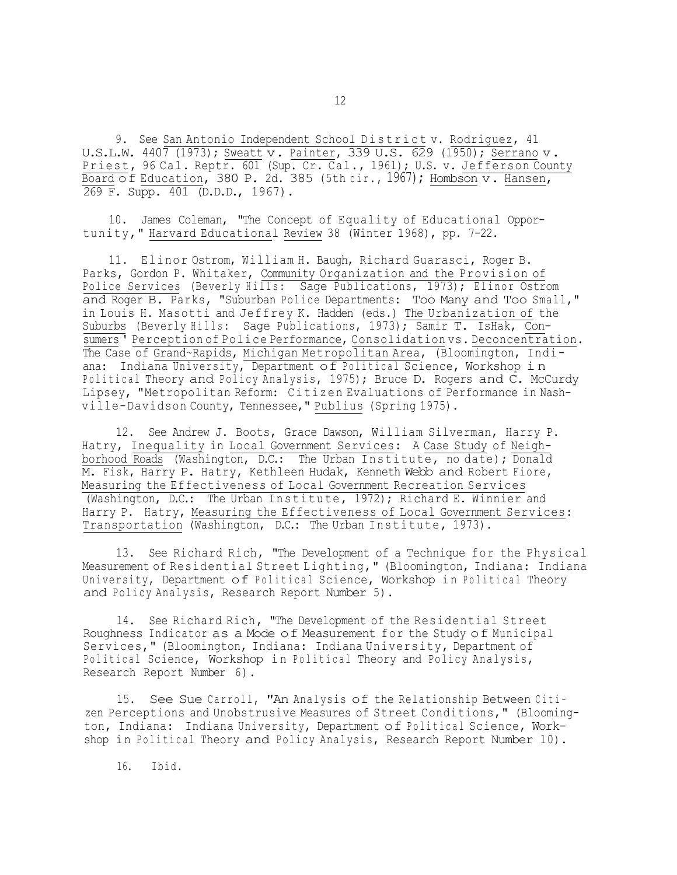9. See San Antonio Independent School District v. Rodriguez, 41 U.S.L.W. 4407 (1973); Sweatt v. Painter, 339 U.S. 629 (1950); Serrano v. Priest, 96 Cal. Reptr. 601 (Sup. Cr. Cal., 1961); U.S. v. Jefferson County Board of Education, 380 P. 2d. 385 (5th cir., 1967); Hombson v. Hansen, 269 F. Supp. 401 (D.D.D., 1967).

10. James Coleman, "The Concept of Equality of Educational Opportunity," Harvard Educational Review 38 (Winter 1968), pp. 7-22.

11. Elinor Ostrom, William H. Baugh, Richard Guarasci, Roger B. Parks, Gordon P. Whitaker, Community Organization and the Provision of Police Services (Beverly Hills: Sage Publications, 1973); Elinor Ostrom and Roger B. Parks, "Suburban Police Departments: Too Many and Too Small," in Louis H. Masotti and Jeffrey K. Hadden (eds.) The Urbanization of the Suburbs (Beverly Hills: Sage Publications, 1973); Samir T. IsHak, Consumers ' Perception of Police Performance, Consolidation vs. Deconcentration. The Case of Grand~Rapids, Michigan Metropolitan Area, (Bloomington, Indiana: Indiana University, Department of Political Science, Workshop in Political Theory and Policy Analysis, 1975); Bruce D. Rogers and C. McCurdy Lipsey, "Metropolitan Reform: Citizen Evaluations of Performance in Nashville-Davidson County, Tennessee," Publius (Spring 1975).

12. See Andrew J. Boots, Grace Dawson, William Silverman, Harry P. Hatry, Inequality in Local Government Services: A Case Study of Neighborhood Roads (Washington, D.C.: The Urban Institute, no date); Donald M. Fisk, Harry P. Hatry, Kethleen Hudak, Kenneth Webb and Robert Fiore, Measuring the Effectiveness of Local Government Recreation Services (Washington, D.C.: The Urban Institute, 1972); Richard E. Winnier and Harry P. Hatry, Measuring the Effectiveness of Local Government Services: Transportation (Washington, D.C.: The Urban Institute, 1973).

13. See Richard Rich, "The Development of a Technique for the Physical Measurement of Residential Street Lighting," (Bloomington, Indiana: Indiana University, Department of Political Science, Workshop in Political Theory and Policy Analysis, Research Report Number 5).

14. See Richard Rich, "The Development of the Residential Street Roughness Indicator as a Mode of Measurement for the Study of Municipal Services," (Bloomington, Indiana: Indiana University, Department of Political Science, Workshop in Political Theory and Policy Analysis, Research Report Number 6).

15. See Sue Carroll, "An Analysis of the Relationship Between Citi zen Perceptions and Unobstrusive Measures of Street Conditions," (Bloomington, Indiana: Indiana University, Department of Political Science, Workshop in Political Theory and Policy Analysis, Research Report Number 10).

16. Ibid.